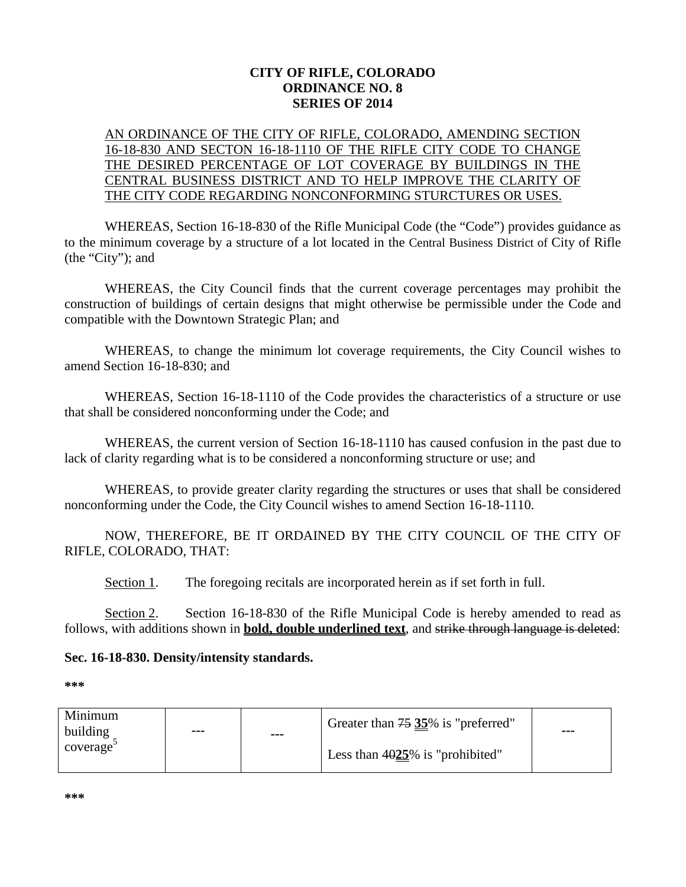## **CITY OF RIFLE, COLORADO ORDINANCE NO. 8 SERIES OF 2014**

## AN ORDINANCE OF THE CITY OF RIFLE, COLORADO, AMENDING SECTION 16-18-830 AND SECTON 16-18-1110 OF THE RIFLE CITY CODE TO CHANGE THE DESIRED PERCENTAGE OF LOT COVERAGE BY BUILDINGS IN THE CENTRAL BUSINESS DISTRICT AND TO HELP IMPROVE THE CLARITY OF THE CITY CODE REGARDING NONCONFORMING STURCTURES OR USES.

WHEREAS, Section 16-18-830 of the Rifle Municipal Code (the "Code") provides guidance as to the minimum coverage by a structure of a lot located in the Central Business District of City of Rifle (the "City"); and

WHEREAS, the City Council finds that the current coverage percentages may prohibit the construction of buildings of certain designs that might otherwise be permissible under the Code and compatible with the Downtown Strategic Plan; and

WHEREAS, to change the minimum lot coverage requirements, the City Council wishes to amend Section 16-18-830; and

WHEREAS, Section 16-18-1110 of the Code provides the characteristics of a structure or use that shall be considered nonconforming under the Code; and

WHEREAS, the current version of Section 16-18-1110 has caused confusion in the past due to lack of clarity regarding what is to be considered a nonconforming structure or use; and

WHEREAS, to provide greater clarity regarding the structures or uses that shall be considered nonconforming under the Code, the City Council wishes to amend Section 16-18-1110.

NOW, THEREFORE, BE IT ORDAINED BY THE CITY COUNCIL OF THE CITY OF RIFLE, COLORADO, THAT:

Section 1. The foregoing recitals are incorporated herein as if set forth in full.

Section 2. Section 16-18-830 of the Rifle Municipal Code is hereby amended to read as follows, with additions shown in **bold, double underlined text**, and strike through language is deleted:

## **Sec. 16-18-830. Density/intensity standards.**

**\*\*\***

| Minimum<br>building<br>coverage | $- - -$ | --- | Greater than 75 35% is "preferred" | $- - -$ |
|---------------------------------|---------|-----|------------------------------------|---------|
|                                 |         |     | Less than $4025\%$ is "prohibited" |         |

**\*\*\***